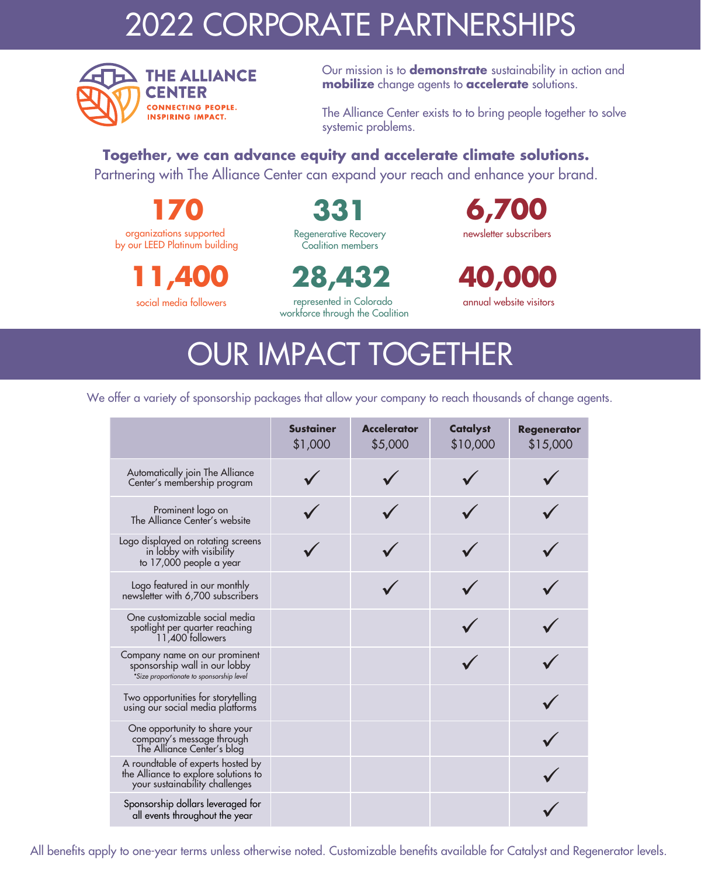### 2022 CORPORATE PARTNERSHIPS



Our mission is to **demonstrate** sustainability in action and **mobilize** change agents to **accelerate** solutions.

The Alliance Center exists to to bring people together to solve systemic problems.

**Together, we can advance equity and accelerate climate solutions.** 

Partnering with The Alliance Center can expand your reach and enhance your brand.

**170** organizations supported by our LEED Platinum building

> **11,400** social media followers

**331** Regenerative Recovery Coalition members

**28,432** 

represented in Colorado workforce through the Coalition

 **6,700** newsletter subscribers

**40,000** annual website visitors

# OUR IMPACT TOGETHER

We offer a variety of sponsorship packages that allow your company to reach thousands of change agents.

|                                                                                                             | <b>Sustainer</b><br>\$1,000 | <b>Accelerator</b><br>\$5,000 | <b>Catalyst</b><br>\$10,000 | <b>Regenerator</b><br>\$15,000 |
|-------------------------------------------------------------------------------------------------------------|-----------------------------|-------------------------------|-----------------------------|--------------------------------|
| Automatically join The Alliance<br>Center's membership program                                              |                             |                               |                             |                                |
| Prominent logo on<br>The Alliance Center's website                                                          |                             |                               |                             |                                |
| Logo displayed on rotating screens<br>in lobby with visibility<br>to 17,000 people a year                   |                             |                               |                             |                                |
| Logo featured in our monthly<br>newsletter with 6,700 subscribers                                           |                             |                               |                             |                                |
| One customizable social media<br>spotlight per quarter reaching<br>11,400 followers                         |                             |                               |                             |                                |
| Company name on our prominent<br>sponsorship wall in our lobby<br>*Size proportionate to sponsorship level  |                             |                               |                             |                                |
| Two opportunities for storytelling<br>using our social media platforms                                      |                             |                               |                             |                                |
| One opportunity to share your<br>company's message through<br>The Alliance Center's blog                    |                             |                               |                             |                                |
| A roundtable of experts hosted by<br>the Alliance to explore solutions to<br>your sustainability challenges |                             |                               |                             |                                |
| Sponsorship dollars leveraged for<br>all events throughout the year                                         |                             |                               |                             |                                |

All benefits apply to one-year terms unless otherwise noted. Customizable benefits available for Catalyst and Regenerator levels.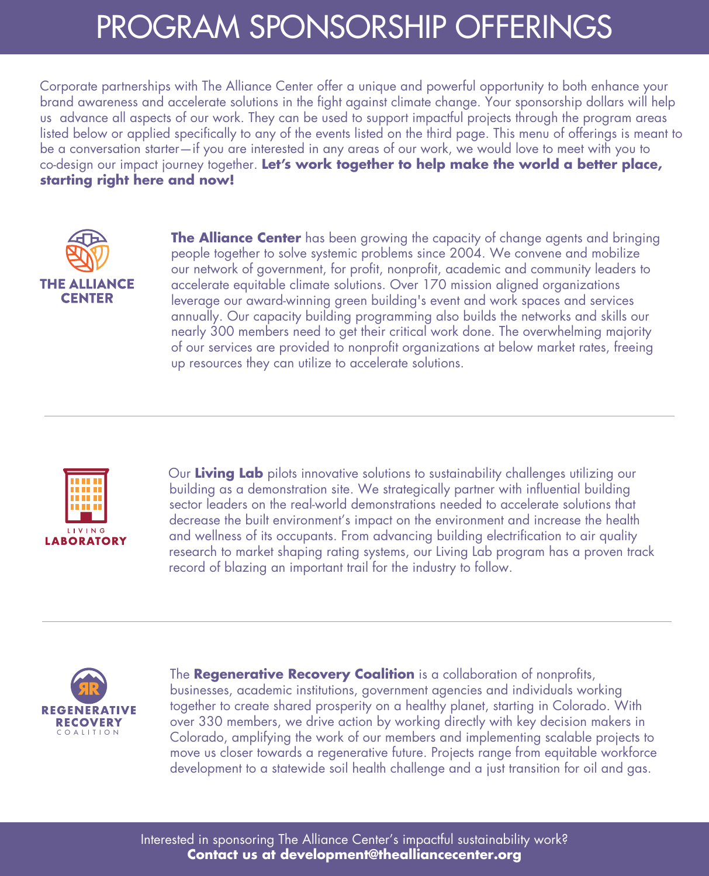### PROGRAM SPONSORSHIP OFFERINGS

Corporate partnerships with The Alliance Center offer a unique and powerful opportunity to both enhance your brand awareness and accelerate solutions in the fight against climate change. Your sponsorship dollars will help us advance all aspects of our work. They can be used to support impactful projects through the program areas listed below or applied specifically to any of the events listed on the third page. This menu of offerings is meant to be a conversation starter—if you are interested in any areas of our work, we would love to meet with you to co-design our impact journey together. **Let's work together to help make the world a better place, starting right here and now!**



**The Alliance Center** has been growing the capacity of change agents and bringing people together to solve systemic problems since 2004. We convene and mobilize our network of government, for profit, nonprofit, academic and community leaders to accelerate equitable climate solutions. Over 170 mission aligned organizations leverage our award-winning green building's event and work spaces and services annually. Our capacity building programming also builds the networks and skills our nearly 300 members need to get their critical work done. The overwhelming majority of our services are provided to nonprofit organizations at below market rates, freeing up resources they can utilize to accelerate solutions.



Our **Living Lab** pilots innovative solutions to sustainability challenges utilizing our building as a demonstration site. We strategically partner with influential building sector leaders on the real-world demonstrations needed to accelerate solutions that decrease the built environment's impact on the environment and increase the health and wellness of its occupants. From advancing building electrification to air quality research to market shaping rating systems, our Living Lab program has a proven track record of blazing an important trail for the industry to follow.



The **Regenerative Recovery Coalition** is a collaboration of nonprofits, businesses, academic institutions, government agencies and individuals working together to create shared prosperity on a healthy planet, starting in Colorado. With over 330 members, we drive action by working directly with key decision makers in Colorado, amplifying the work of our members and implementing scalable projects to move us closer towards a regenerative future. Projects range from equitable workforce development to a statewide soil health challenge and a just transition for oil and gas.